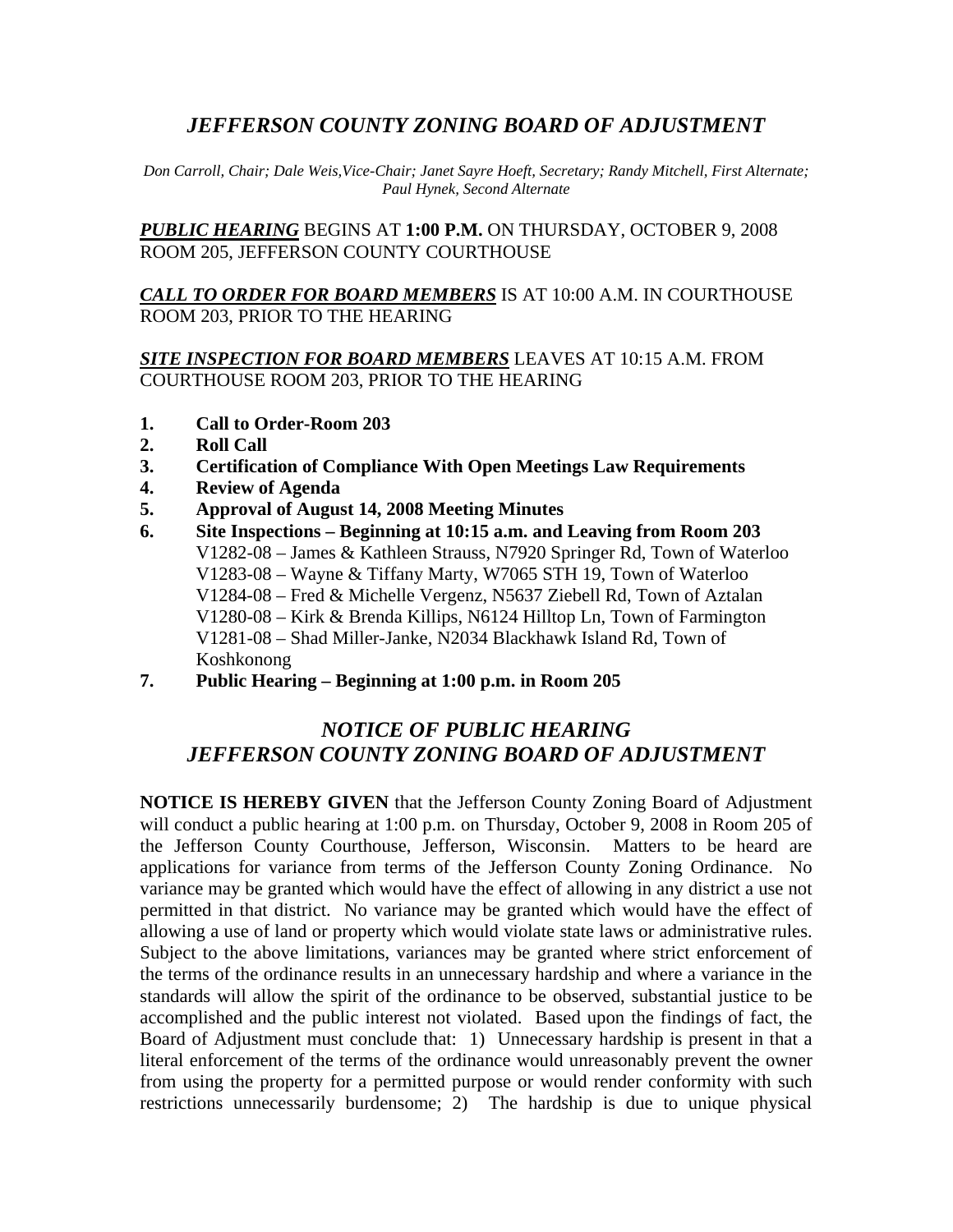# *JEFFERSON COUNTY ZONING BOARD OF ADJUSTMENT*

*Don Carroll, Chair; Dale Weis,Vice-Chair; Janet Sayre Hoeft, Secretary; Randy Mitchell, First Alternate; Paul Hynek, Second Alternate* 

*PUBLIC HEARING* BEGINS AT **1:00 P.M.** ON THURSDAY, OCTOBER 9, 2008 ROOM 205, JEFFERSON COUNTY COURTHOUSE

#### *CALL TO ORDER FOR BOARD MEMBERS* IS AT 10:00 A.M. IN COURTHOUSE ROOM 203, PRIOR TO THE HEARING

## *SITE INSPECTION FOR BOARD MEMBERS* LEAVES AT 10:15 A.M. FROM COURTHOUSE ROOM 203, PRIOR TO THE HEARING

- **1. Call to Order-Room 203**
- **2. Roll Call**
- **3. Certification of Compliance With Open Meetings Law Requirements**
- **4. Review of Agenda**
- **5. Approval of August 14, 2008 Meeting Minutes**
- **6. Site Inspections Beginning at 10:15 a.m. and Leaving from Room 203**  V1282-08 – James & Kathleen Strauss, N7920 Springer Rd, Town of Waterloo V1283-08 – Wayne & Tiffany Marty, W7065 STH 19, Town of Waterloo V1284-08 – Fred & Michelle Vergenz, N5637 Ziebell Rd, Town of Aztalan V1280-08 – Kirk & Brenda Killips, N6124 Hilltop Ln, Town of Farmington V1281-08 – Shad Miller-Janke, N2034 Blackhawk Island Rd, Town of Koshkonong
- **7. Public Hearing Beginning at 1:00 p.m. in Room 205**

# *NOTICE OF PUBLIC HEARING JEFFERSON COUNTY ZONING BOARD OF ADJUSTMENT*

**NOTICE IS HEREBY GIVEN** that the Jefferson County Zoning Board of Adjustment will conduct a public hearing at 1:00 p.m. on Thursday, October 9, 2008 in Room 205 of the Jefferson County Courthouse, Jefferson, Wisconsin. Matters to be heard are applications for variance from terms of the Jefferson County Zoning Ordinance. No variance may be granted which would have the effect of allowing in any district a use not permitted in that district. No variance may be granted which would have the effect of allowing a use of land or property which would violate state laws or administrative rules. Subject to the above limitations, variances may be granted where strict enforcement of the terms of the ordinance results in an unnecessary hardship and where a variance in the standards will allow the spirit of the ordinance to be observed, substantial justice to be accomplished and the public interest not violated. Based upon the findings of fact, the Board of Adjustment must conclude that: 1) Unnecessary hardship is present in that a literal enforcement of the terms of the ordinance would unreasonably prevent the owner from using the property for a permitted purpose or would render conformity with such restrictions unnecessarily burdensome; 2) The hardship is due to unique physical